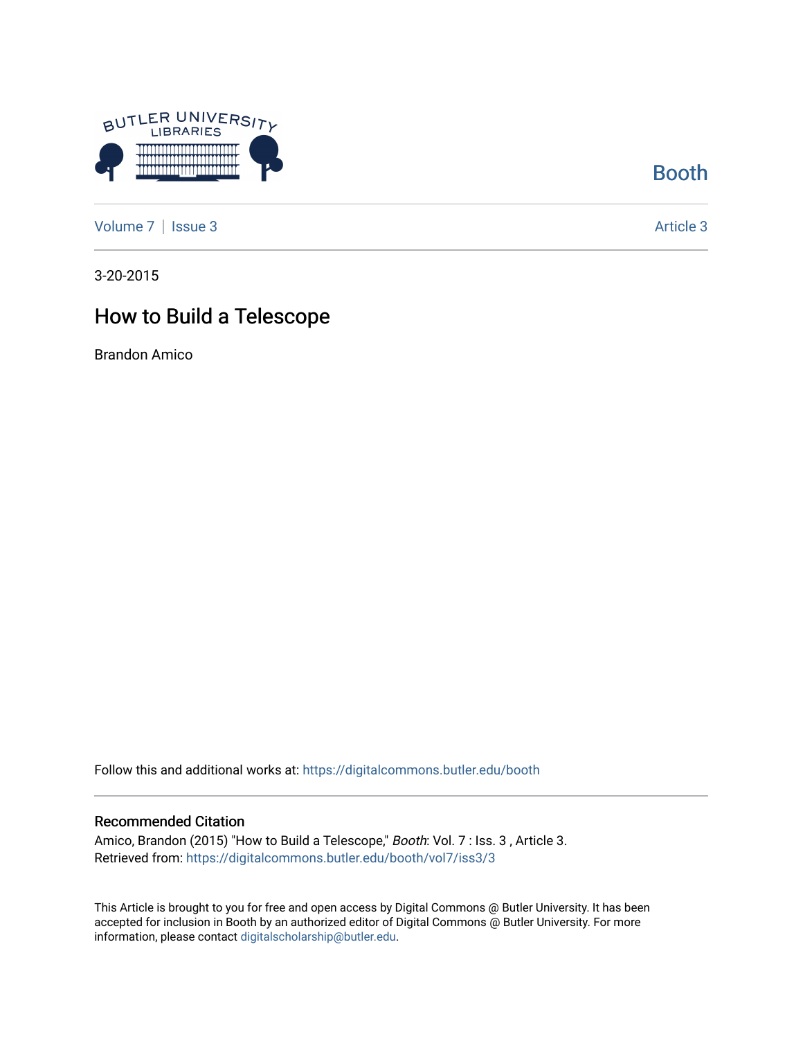

[Booth](https://digitalcommons.butler.edu/booth) 

[Volume 7](https://digitalcommons.butler.edu/booth/vol7) | [Issue 3](https://digitalcommons.butler.edu/booth/vol7/iss3) Article 3

3-20-2015

## How to Build a Telescope

Brandon Amico

Follow this and additional works at: [https://digitalcommons.butler.edu/booth](https://digitalcommons.butler.edu/booth?utm_source=digitalcommons.butler.edu%2Fbooth%2Fvol7%2Fiss3%2F3&utm_medium=PDF&utm_campaign=PDFCoverPages) 

#### Recommended Citation

Amico, Brandon (2015) "How to Build a Telescope," Booth: Vol. 7 : Iss. 3, Article 3. Retrieved from: [https://digitalcommons.butler.edu/booth/vol7/iss3/3](https://digitalcommons.butler.edu/booth/vol7/iss3/3?utm_source=digitalcommons.butler.edu%2Fbooth%2Fvol7%2Fiss3%2F3&utm_medium=PDF&utm_campaign=PDFCoverPages) 

This Article is brought to you for free and open access by Digital Commons @ Butler University. It has been accepted for inclusion in Booth by an authorized editor of Digital Commons @ Butler University. For more information, please contact [digitalscholarship@butler.edu](mailto:digitalscholarship@butler.edu).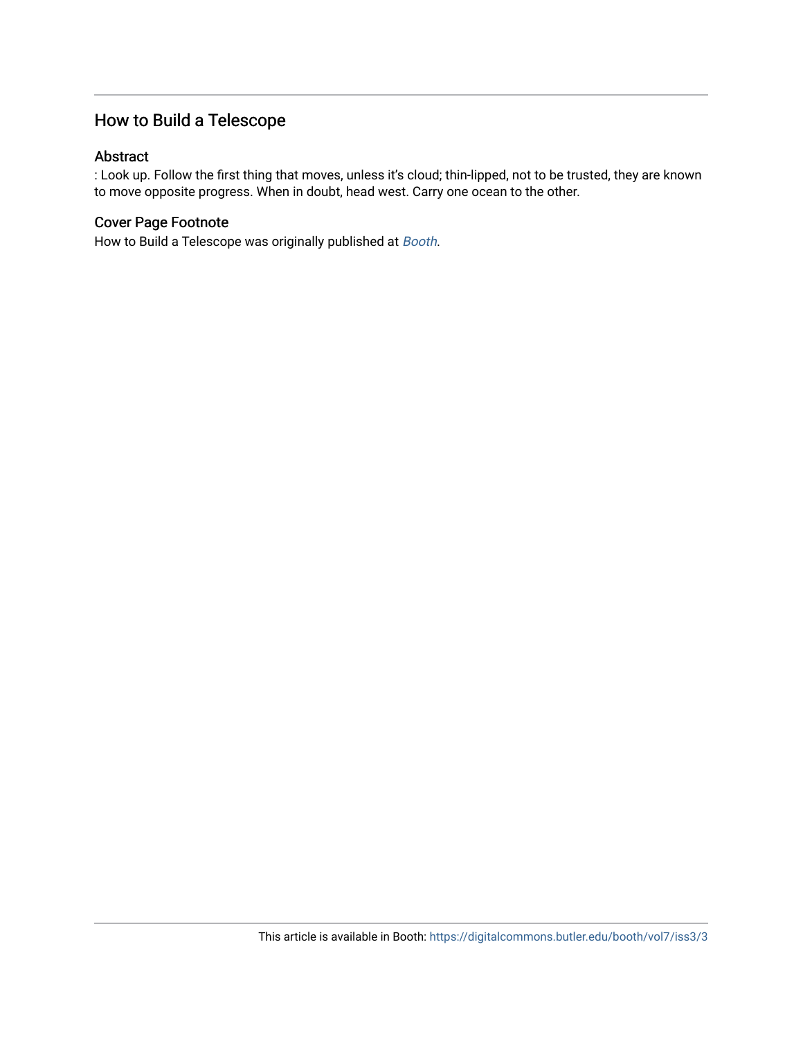### How to Build a Telescope

#### Abstract

: Look up. Follow the first thing that moves, unless it's cloud; thin-lipped, not to be trusted, they are known to move opposite progress. When in doubt, head west. Carry one ocean to the other.

#### Cover Page Footnote

How to Build a Telescope was originally published at [Booth](http://booth.butler.edu/).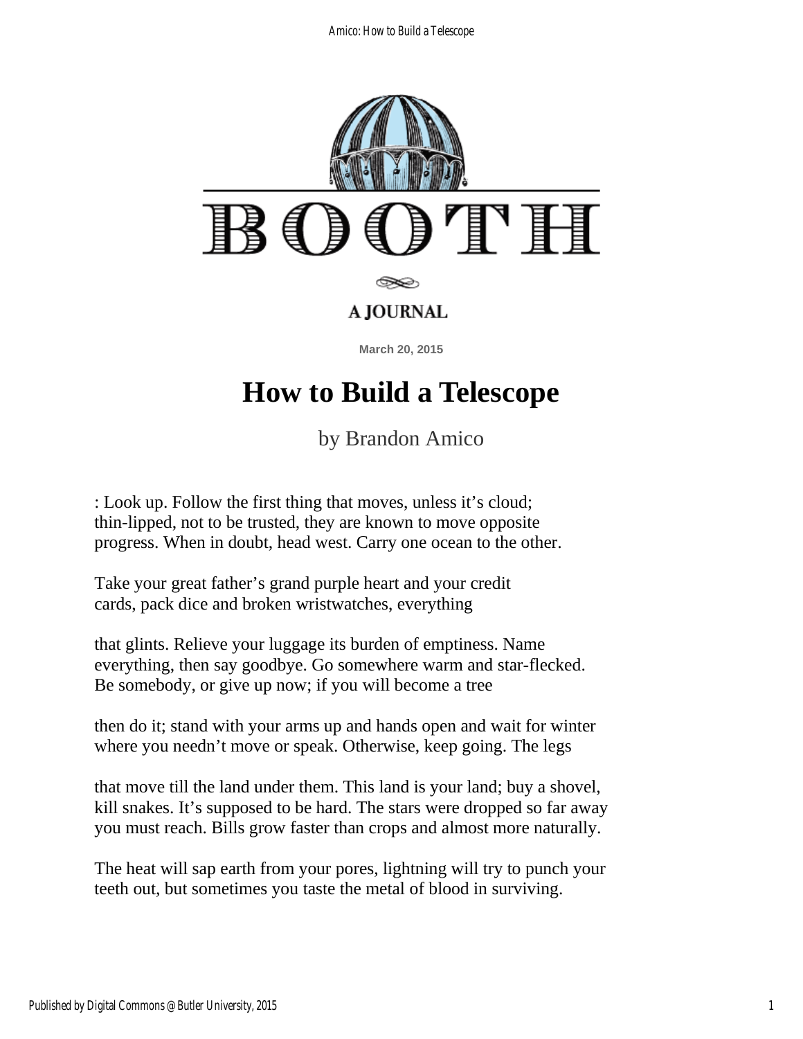

# **How to Build a Telescope**

by Brandon Amico

: Look up. Follow the first thing that moves, unless it's cloud; thin-lipped, not to be trusted, they are known to move opposite progress. When in doubt, head west. Carry one ocean to the other.

Take your great father's grand purple heart and your credit cards, pack dice and broken wristwatches, everything

that glints. Relieve your luggage its burden of emptiness. Name everything, then say goodbye. Go somewhere warm and star-flecked. Be somebody, or give up now; if you will become a tree

then do it; stand with your arms up and hands open and wait for winter where you needn't move or speak. Otherwise, keep going. The legs

that move till the land under them. This land is your land; buy a shovel, kill snakes. It's supposed to be hard. The stars were dropped so far away you must reach. Bills grow faster than crops and almost more naturally.

The heat will sap earth from your pores, lightning will try to punch your teeth out, but sometimes you taste the metal of blood in surviving.